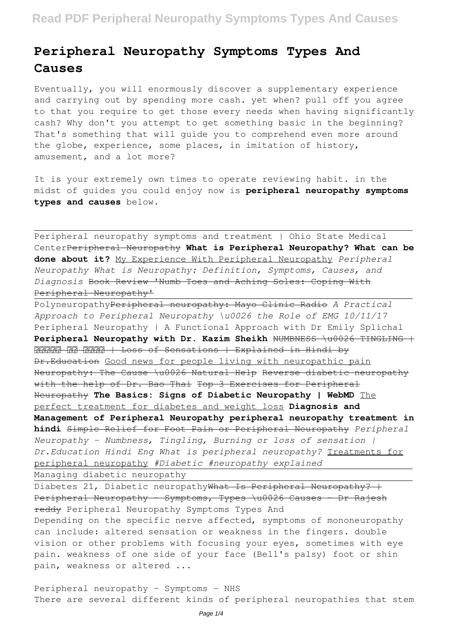# **Peripheral Neuropathy Symptoms Types And Causes**

Eventually, you will enormously discover a supplementary experience and carrying out by spending more cash. yet when? pull off you agree to that you require to get those every needs when having significantly cash? Why don't you attempt to get something basic in the beginning? That's something that will guide you to comprehend even more around the globe, experience, some places, in imitation of history, amusement, and a lot more?

It is your extremely own times to operate reviewing habit. in the midst of guides you could enjoy now is **peripheral neuropathy symptoms types and causes** below.

Peripheral neuropathy symptoms and treatment | Ohio State Medical CenterPeripheral Neuropathy **What is Peripheral Neuropathy? What can be done about it?** My Experience With Peripheral Neuropathy *Peripheral Neuropathy What is Neuropathy: Definition, Symptoms, Causes, and Diagnosis* Book Review 'Numb Toes and Aching Soles: Coping With Peripheral Neuropathy'

PolyneuropathyPeripheral neuropathy: Mayo Clinic Radio *A Practical Approach to Peripheral Neuropathy \u0026 the Role of EMG 10/11/17* Peripheral Neuropathy | A Functional Approach with Dr Emily Splichal **Peripheral Neuropathy with Dr. Kazim Sheikh NUMBNESS \u0026 TINGLING +** RRRRR RR RRRR | Loss of Sensations | Explained in Hindi by Dr.Education Good news for people living with neuropathic pain Neuropathy: The Cause \u0026 Natural Help Reverse diabetic neuropathy with the help of Dr. Bao Thai Top 3 Exercises for Peripheral Neuropathy **The Basics: Signs of Diabetic Neuropathy | WebMD** The perfect treatment for diabetes and weight loss **Diagnosis and Management of Peripheral Neuropathy peripheral neuropathy treatment in hindi** Simple Relief for Foot Pain or Peripheral Neuropathy *Peripheral Neuropathy - Numbness, Tingling, Burning or loss of sensation | Dr.Education Hindi Eng What is peripheral neuropathy?* Treatments for peripheral neuropathy *#Diabetic #neuropathy explained*

Managing diabetic neuropathy

Diabetes 21, Diabetic neuropathyWhat Is Peripheral Neuropathy? + Peripheral Neuropathy - Symptoms, Types \u0026 Causes - Dr Rajesh reddy Peripheral Neuropathy Symptoms Types And Depending on the specific nerve affected, symptoms of mononeuropathy can include: altered sensation or weakness in the fingers. double vision or other problems with focusing your eyes, sometimes with eye pain. weakness of one side of your face (Bell's palsy) foot or shin pain, weakness or altered ...

Peripheral neuropathy - Symptoms - NHS There are several different kinds of peripheral neuropathies that stem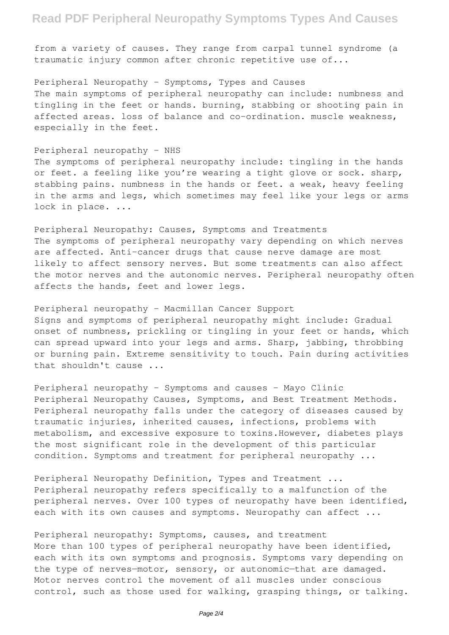### **Read PDF Peripheral Neuropathy Symptoms Types And Causes**

from a variety of causes. They range from carpal tunnel syndrome (a traumatic injury common after chronic repetitive use of...

Peripheral Neuropathy - Symptoms, Types and Causes The main symptoms of peripheral neuropathy can include: numbness and tingling in the feet or hands. burning, stabbing or shooting pain in affected areas. loss of balance and co-ordination. muscle weakness, especially in the feet.

Peripheral neuropathy - NHS

The symptoms of peripheral neuropathy include: tingling in the hands or feet. a feeling like you're wearing a tight glove or sock. sharp, stabbing pains. numbness in the hands or feet. a weak, heavy feeling in the arms and legs, which sometimes may feel like your legs or arms lock in place. ...

Peripheral Neuropathy: Causes, Symptoms and Treatments The symptoms of peripheral neuropathy vary depending on which nerves are affected. Anti-cancer drugs that cause nerve damage are most likely to affect sensory nerves. But some treatments can also affect the motor nerves and the autonomic nerves. Peripheral neuropathy often affects the hands, feet and lower legs.

Peripheral neuropathy - Macmillan Cancer Support Signs and symptoms of peripheral neuropathy might include: Gradual onset of numbness, prickling or tingling in your feet or hands, which can spread upward into your legs and arms. Sharp, jabbing, throbbing or burning pain. Extreme sensitivity to touch. Pain during activities that shouldn't cause ...

Peripheral neuropathy - Symptoms and causes - Mayo Clinic Peripheral Neuropathy Causes, Symptoms, and Best Treatment Methods. Peripheral neuropathy falls under the category of diseases caused by traumatic injuries, inherited causes, infections, problems with metabolism, and excessive exposure to toxins.However, diabetes plays the most significant role in the development of this particular condition. Symptoms and treatment for peripheral neuropathy ...

Peripheral Neuropathy Definition, Types and Treatment ... Peripheral neuropathy refers specifically to a malfunction of the peripheral nerves. Over 100 types of neuropathy have been identified, each with its own causes and symptoms. Neuropathy can affect ...

Peripheral neuropathy: Symptoms, causes, and treatment More than 100 types of peripheral neuropathy have been identified, each with its own symptoms and prognosis. Symptoms vary depending on the type of nerves—motor, sensory, or autonomic—that are damaged. Motor nerves control the movement of all muscles under conscious control, such as those used for walking, grasping things, or talking.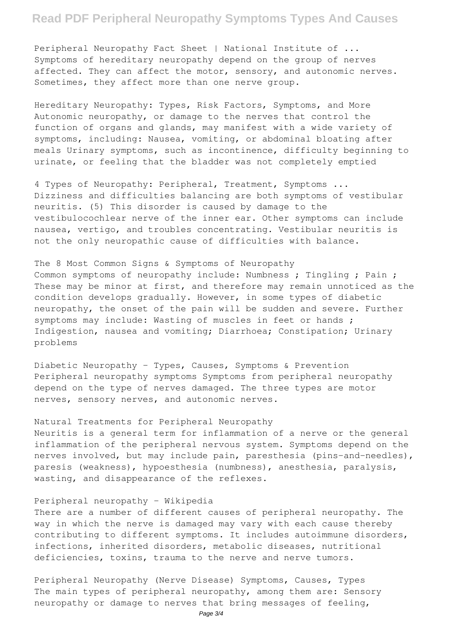### **Read PDF Peripheral Neuropathy Symptoms Types And Causes**

Peripheral Neuropathy Fact Sheet | National Institute of ... Symptoms of hereditary neuropathy depend on the group of nerves affected. They can affect the motor, sensory, and autonomic nerves. Sometimes, they affect more than one nerve group.

Hereditary Neuropathy: Types, Risk Factors, Symptoms, and More Autonomic neuropathy, or damage to the nerves that control the function of organs and glands, may manifest with a wide variety of symptoms, including: Nausea, vomiting, or abdominal bloating after meals Urinary symptoms, such as incontinence, difficulty beginning to urinate, or feeling that the bladder was not completely emptied

4 Types of Neuropathy: Peripheral, Treatment, Symptoms ... Dizziness and difficulties balancing are both symptoms of vestibular neuritis. (5) This disorder is caused by damage to the vestibulocochlear nerve of the inner ear. Other symptoms can include nausea, vertigo, and troubles concentrating. Vestibular neuritis is not the only neuropathic cause of difficulties with balance.

#### The 8 Most Common Signs & Symptoms of Neuropathy

Common symptoms of neuropathy include: Numbness ; Tingling ; Pain ; These may be minor at first, and therefore may remain unnoticed as the condition develops gradually. However, in some types of diabetic neuropathy, the onset of the pain will be sudden and severe. Further symptoms may include: Wasting of muscles in feet or hands ; Indigestion, nausea and vomiting; Diarrhoea; Constipation; Urinary problems

Diabetic Neuropathy - Types, Causes, Symptoms & Prevention Peripheral neuropathy symptoms Symptoms from peripheral neuropathy depend on the type of nerves damaged. The three types are motor nerves, sensory nerves, and autonomic nerves.

### Natural Treatments for Peripheral Neuropathy

Neuritis is a general term for inflammation of a nerve or the general inflammation of the peripheral nervous system. Symptoms depend on the nerves involved, but may include pain, paresthesia (pins-and-needles), paresis (weakness), hypoesthesia (numbness), anesthesia, paralysis, wasting, and disappearance of the reflexes.

#### Peripheral neuropathy - Wikipedia

There are a number of different causes of peripheral neuropathy. The way in which the nerve is damaged may vary with each cause thereby contributing to different symptoms. It includes autoimmune disorders, infections, inherited disorders, metabolic diseases, nutritional deficiencies, toxins, trauma to the nerve and nerve tumors.

Peripheral Neuropathy (Nerve Disease) Symptoms, Causes, Types The main types of peripheral neuropathy, among them are: Sensory neuropathy or damage to nerves that bring messages of feeling,